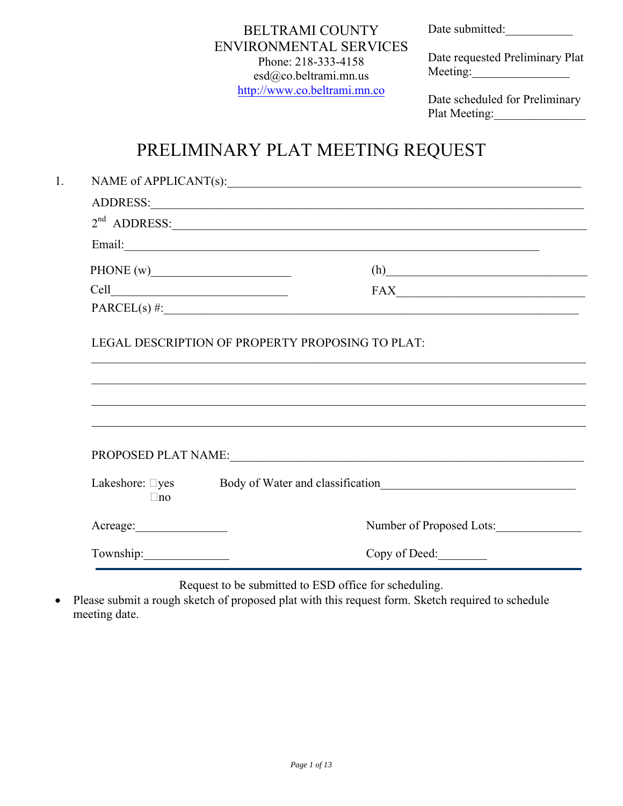Date submitted:

## BELTRAMI COUNTY ENVIRONMENTAL SERVICES Phone: 218-333-4158 esd@co.beltrami.mn.us [http://www.co.beltrami.mn.co](http://www.co.beltrami.mn.co/)

Date requested Preliminary Plat Meeting:

Date scheduled for Preliminary Plat Meeting:

# PRELIMINARY PLAT MEETING REQUEST

|                              | NAME of APPLICANT(s):                                                             |
|------------------------------|-----------------------------------------------------------------------------------|
|                              |                                                                                   |
|                              | $2nd$ ADDRESS:                                                                    |
|                              |                                                                                   |
|                              | (h)                                                                               |
|                              | $\textbf{FAX}\_\_\_\_\_\_\_$                                                      |
|                              | PARCEL(s) #:                                                                      |
|                              | LEGAL DESCRIPTION OF PROPERTY PROPOSING TO PLAT:                                  |
|                              | ,我们也不能在这里的人,我们也不能在这里的人,我们也不能在这里的人,我们也不能在这里的人,我们也不能在这里的人,我们也不能在这里的人,我们也不能在这里的人,我们也 |
| Lakeshore: □yes<br>$\Box$ no | Body of Water and classification<br><u>Examples</u>                               |
|                              | Number of Proposed Lots:                                                          |

Request to be submitted to ESD office for scheduling.

• Please submit a rough sketch of proposed plat with this request form. Sketch required to schedule meeting date.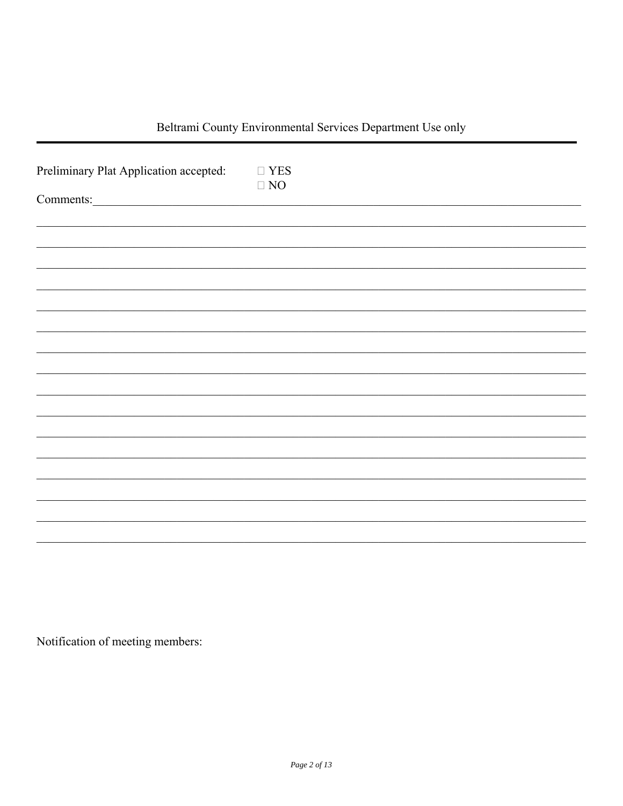## Beltrami County Environmental Services Department Use only

| Preliminary Plat Application accepted:<br>Comments: | $\square$ YES<br>$\Box$ NO |
|-----------------------------------------------------|----------------------------|
|                                                     |                            |
|                                                     |                            |
|                                                     |                            |
|                                                     |                            |
|                                                     |                            |
|                                                     |                            |
|                                                     |                            |
|                                                     |                            |
|                                                     |                            |
|                                                     |                            |

Notification of meeting members: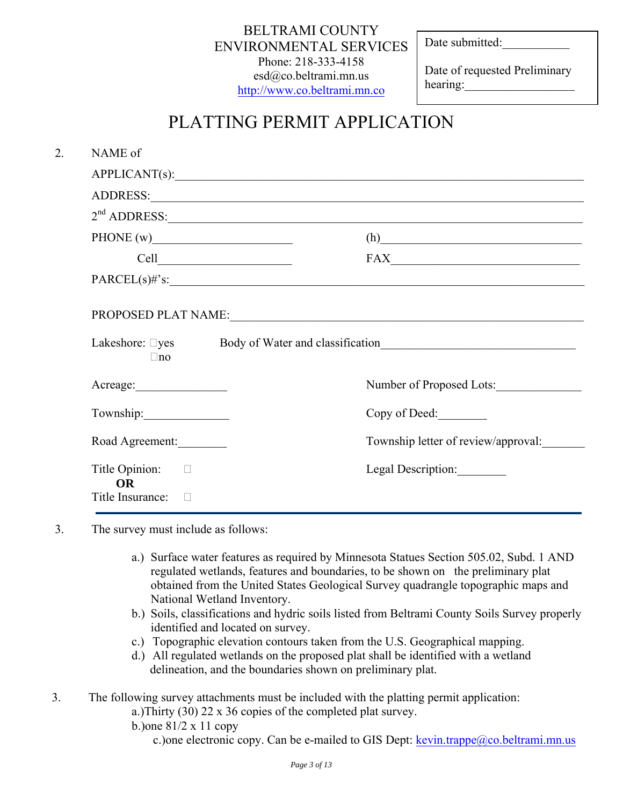BELTRAMI COUNTY ENVIRONMENTAL SERVICES Phone: 218-333-4158 esd@co.beltrami.mn.us [http://www.co.beltrami.mn.co](http://www.co.beltrami.mn.co/)

Date submitted:

Date of requested Preliminary hearing:

# PLATTING PERMIT APPLICATION

| NAME of                            |                                                                                  |
|------------------------------------|----------------------------------------------------------------------------------|
|                                    | APPLICANT(s):                                                                    |
|                                    |                                                                                  |
|                                    | $2nd$ ADDRESS:                                                                   |
| PHONE $(w)$                        | (h)                                                                              |
|                                    | $\textbf{FAX}\_\_\_\_\_\_\_\_$                                                   |
|                                    | $PARCEL(s)$ #'s:                                                                 |
| $\Box$ no                          | Lakeshore: Dyes Body of Water and classification________________________________ |
|                                    | Number of Proposed Lots:                                                         |
| Township:                          | Copy of Deed:                                                                    |
| Road Agreement:                    | Township letter of review/approval:                                              |
| Title Opinion: $\Box$<br><b>OR</b> | Legal Description:                                                               |
| Title Insurance: $\Box$            |                                                                                  |

- 3. The survey must include as follows:
	- a.) Surface water features as required by Minnesota Statues Section 505.02, Subd. 1 AND regulated wetlands, features and boundaries, to be shown on the preliminary plat obtained from the United States Geological Survey quadrangle topographic maps and National Wetland Inventory.
	- b.) Soils, classifications and hydric soils listed from Beltrami County Soils Survey properly identified and located on survey.
	- c.) Topographic elevation contours taken from the U.S. Geographical mapping.
	- d.) All regulated wetlands on the proposed plat shall be identified with a wetland delineation, and the boundaries shown on preliminary plat.

3. The following survey attachments must be included with the platting permit application:

a.)Thirty (30) 22 x 36 copies of the completed plat survey.

b.)one 81/2 x 11 copy

c.) one electronic copy. Can be e-mailed to GIS Dept:  $k$ evin.trappe@co.beltrami.mn.us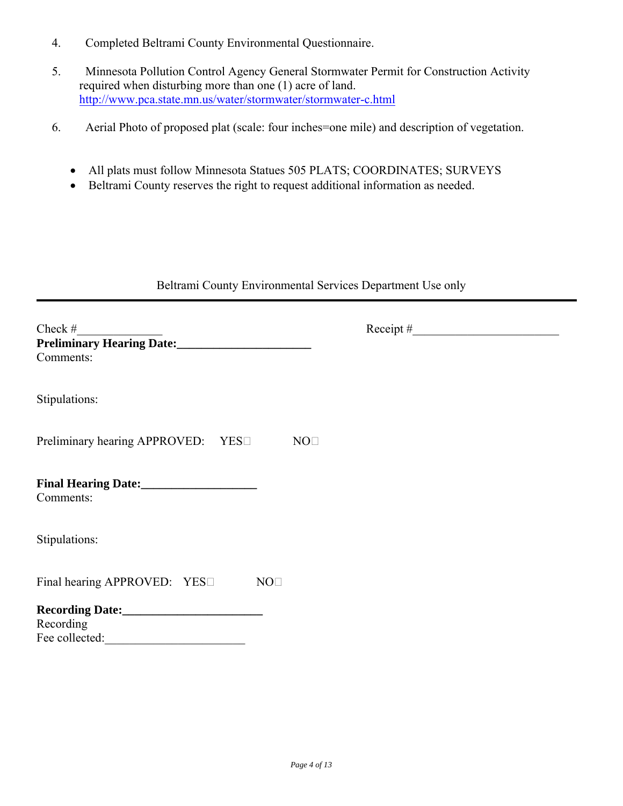- 4. Completed Beltrami County Environmental Questionnaire.
- 5. Minnesota Pollution Control Agency General Stormwater Permit for Construction Activity required when disturbing more than one (1) acre of land. <http://www.pca.state.mn.us/water/stormwater/stormwater-c.html>
- 6. Aerial Photo of proposed plat (scale: four inches=one mile) and description of vegetation.
	- All plats must follow Minnesota Statues 505 PLATS; COORDINATES; SURVEYS
	- Beltrami County reserves the right to request additional information as needed.

#### Beltrami County Environmental Services Department Use only

| Check $#$<br>Comments:                                |  |
|-------------------------------------------------------|--|
| Stipulations:                                         |  |
| Preliminary hearing APPROVED: YES□<br>NO <sub>1</sub> |  |
| Final Hearing Date:<br><u> </u><br>Comments:          |  |
| Stipulations:                                         |  |
| Final hearing APPROVED: YES<br>NO <sub>1</sub>        |  |
| Recording<br>Fee collected:                           |  |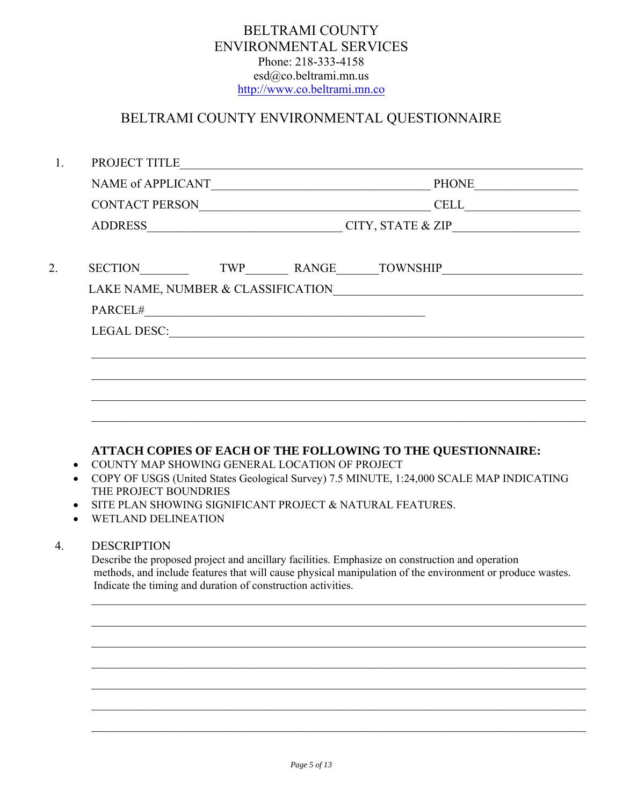## BELTRAMI COUNTY ENVIRONMENTAL SERVICES Phone: 218-333-4158 esd@co.beltrami.mn.us [http://www.co.beltrami.mn.co](http://www.co.beltrami.mn.co/)

## BELTRAMI COUNTY ENVIRONMENTAL QUESTIONNAIRE

| 1.                                  | PROJECT TITLE                                                                                                                                                                                                                                                                                                                  |                                                                                  |  |  |
|-------------------------------------|--------------------------------------------------------------------------------------------------------------------------------------------------------------------------------------------------------------------------------------------------------------------------------------------------------------------------------|----------------------------------------------------------------------------------|--|--|
|                                     |                                                                                                                                                                                                                                                                                                                                |                                                                                  |  |  |
|                                     |                                                                                                                                                                                                                                                                                                                                |                                                                                  |  |  |
|                                     |                                                                                                                                                                                                                                                                                                                                |                                                                                  |  |  |
| 2.                                  | SECTION TWP RANGE TOWNSHIP                                                                                                                                                                                                                                                                                                     |                                                                                  |  |  |
|                                     |                                                                                                                                                                                                                                                                                                                                |                                                                                  |  |  |
|                                     |                                                                                                                                                                                                                                                                                                                                |                                                                                  |  |  |
|                                     |                                                                                                                                                                                                                                                                                                                                |                                                                                  |  |  |
|                                     |                                                                                                                                                                                                                                                                                                                                |                                                                                  |  |  |
|                                     |                                                                                                                                                                                                                                                                                                                                | ,我们也不能在这里的时候,我们也不能在这里的时候,我们也不能在这里的时候,我们也不能会在这里的时候,我们也不能会在这里的时候,我们也不能会在这里的时候,我们也不 |  |  |
|                                     |                                                                                                                                                                                                                                                                                                                                |                                                                                  |  |  |
|                                     |                                                                                                                                                                                                                                                                                                                                |                                                                                  |  |  |
| $\bullet$<br>$\bullet$<br>$\bullet$ | ATTACH COPIES OF EACH OF THE FOLLOWING TO THE QUESTIONNAIRE:<br>COUNTY MAP SHOWING GENERAL LOCATION OF PROJECT<br>COPY OF USGS (United States Geological Survey) 7.5 MINUTE, 1:24,000 SCALE MAP INDICATING<br>THE PROJECT BOUNDRIES<br>SITE PLAN SHOWING SIGNIFICANT PROJECT & NATURAL FEATURES.<br><b>WETLAND DELINEATION</b> |                                                                                  |  |  |
| $\overline{4}$ .                    | <b>DESCRIPTION</b><br>Describe the proposed project and ancillary facilities. Emphasize on construction and operation<br>methods, and include features that will cause physical manipulation of the environment or produce wastes.<br>Indicate the timing and duration of construction activities.                             |                                                                                  |  |  |
|                                     |                                                                                                                                                                                                                                                                                                                                |                                                                                  |  |  |
|                                     |                                                                                                                                                                                                                                                                                                                                |                                                                                  |  |  |
|                                     |                                                                                                                                                                                                                                                                                                                                |                                                                                  |  |  |
|                                     |                                                                                                                                                                                                                                                                                                                                |                                                                                  |  |  |
|                                     |                                                                                                                                                                                                                                                                                                                                |                                                                                  |  |  |

 $\mathcal{L}_\mathcal{L} = \{ \mathcal{L}_\mathcal{L} = \{ \mathcal{L}_\mathcal{L} = \{ \mathcal{L}_\mathcal{L} = \{ \mathcal{L}_\mathcal{L} = \{ \mathcal{L}_\mathcal{L} = \{ \mathcal{L}_\mathcal{L} = \{ \mathcal{L}_\mathcal{L} = \{ \mathcal{L}_\mathcal{L} = \{ \mathcal{L}_\mathcal{L} = \{ \mathcal{L}_\mathcal{L} = \{ \mathcal{L}_\mathcal{L} = \{ \mathcal{L}_\mathcal{L} = \{ \mathcal{L}_\mathcal{L} = \{ \mathcal{L}_\mathcal{$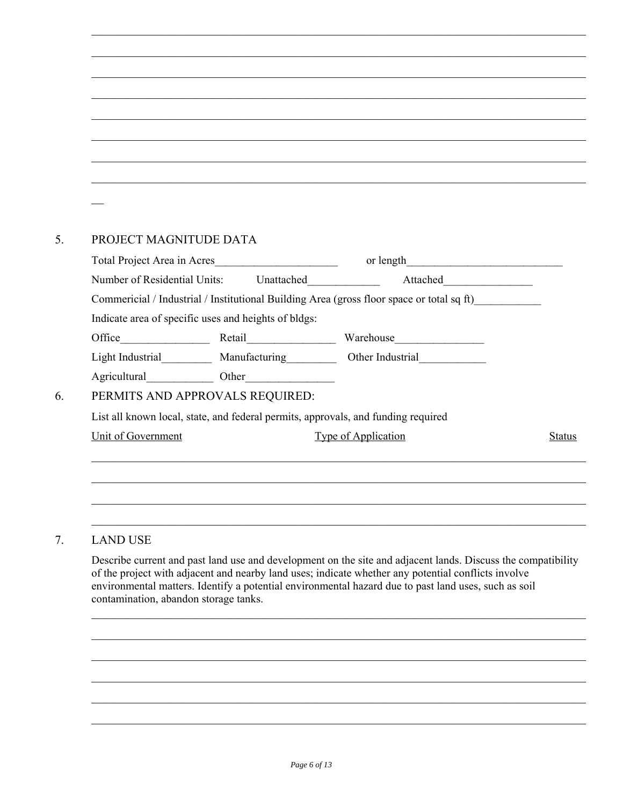| PROJECT MAGNITUDE DATA |                                                      |                                                                                           |               |
|------------------------|------------------------------------------------------|-------------------------------------------------------------------------------------------|---------------|
|                        | Total Project Area in Acres                          |                                                                                           |               |
|                        |                                                      | Number of Residential Units: Unattached ______________ Attached_________________          |               |
|                        |                                                      | Commericial / Industrial / Institutional Building Area (gross floor space or total sq ft) |               |
|                        | Indicate area of specific uses and heights of bldgs: |                                                                                           |               |
|                        |                                                      |                                                                                           |               |
|                        |                                                      | Light Industrial_____________ Manufacturing_____________ Other Industrial______________   |               |
|                        | Agricultural Other                                   |                                                                                           |               |
|                        | PERMITS AND APPROVALS REQUIRED:                      |                                                                                           |               |
|                        |                                                      | List all known local, state, and federal permits, approvals, and funding required         |               |
| Unit of Government     |                                                      | <b>Type of Application</b>                                                                | <b>Status</b> |
|                        |                                                      |                                                                                           |               |

 $\mathcal{L}_\mathcal{L} = \{ \mathcal{L}_\mathcal{L} = \{ \mathcal{L}_\mathcal{L} = \{ \mathcal{L}_\mathcal{L} = \{ \mathcal{L}_\mathcal{L} = \{ \mathcal{L}_\mathcal{L} = \{ \mathcal{L}_\mathcal{L} = \{ \mathcal{L}_\mathcal{L} = \{ \mathcal{L}_\mathcal{L} = \{ \mathcal{L}_\mathcal{L} = \{ \mathcal{L}_\mathcal{L} = \{ \mathcal{L}_\mathcal{L} = \{ \mathcal{L}_\mathcal{L} = \{ \mathcal{L}_\mathcal{L} = \{ \mathcal{L}_\mathcal{$ 

## 7. LAND USE

Describe current and past land use and development on the site and adjacent lands. Discuss the compatibility of the project with adjacent and nearby land uses; indicate whether any potential conflicts involve environmental matters. Identify a potential environmental hazard due to past land uses, such as soil contamination, abandon storage tanks.  $\mathcal{L}_\mathcal{L} = \{ \mathcal{L}_\mathcal{L} = \{ \mathcal{L}_\mathcal{L} = \{ \mathcal{L}_\mathcal{L} = \{ \mathcal{L}_\mathcal{L} = \{ \mathcal{L}_\mathcal{L} = \{ \mathcal{L}_\mathcal{L} = \{ \mathcal{L}_\mathcal{L} = \{ \mathcal{L}_\mathcal{L} = \{ \mathcal{L}_\mathcal{L} = \{ \mathcal{L}_\mathcal{L} = \{ \mathcal{L}_\mathcal{L} = \{ \mathcal{L}_\mathcal{L} = \{ \mathcal{L}_\mathcal{L} = \{ \mathcal{L}_\mathcal{$ 

 $\mathcal{L}_\mathcal{L} = \{ \mathcal{L}_\mathcal{L} = \{ \mathcal{L}_\mathcal{L} = \{ \mathcal{L}_\mathcal{L} = \{ \mathcal{L}_\mathcal{L} = \{ \mathcal{L}_\mathcal{L} = \{ \mathcal{L}_\mathcal{L} = \{ \mathcal{L}_\mathcal{L} = \{ \mathcal{L}_\mathcal{L} = \{ \mathcal{L}_\mathcal{L} = \{ \mathcal{L}_\mathcal{L} = \{ \mathcal{L}_\mathcal{L} = \{ \mathcal{L}_\mathcal{L} = \{ \mathcal{L}_\mathcal{L} = \{ \mathcal{L}_\mathcal{$ 

 $\mathcal{L}_\mathcal{L} = \{ \mathcal{L}_\mathcal{L} = \{ \mathcal{L}_\mathcal{L} = \{ \mathcal{L}_\mathcal{L} = \{ \mathcal{L}_\mathcal{L} = \{ \mathcal{L}_\mathcal{L} = \{ \mathcal{L}_\mathcal{L} = \{ \mathcal{L}_\mathcal{L} = \{ \mathcal{L}_\mathcal{L} = \{ \mathcal{L}_\mathcal{L} = \{ \mathcal{L}_\mathcal{L} = \{ \mathcal{L}_\mathcal{L} = \{ \mathcal{L}_\mathcal{L} = \{ \mathcal{L}_\mathcal{L} = \{ \mathcal{L}_\mathcal{$ 

 $\mathcal{L}_\mathcal{L} = \{ \mathcal{L}_\mathcal{L} = \{ \mathcal{L}_\mathcal{L} = \{ \mathcal{L}_\mathcal{L} = \{ \mathcal{L}_\mathcal{L} = \{ \mathcal{L}_\mathcal{L} = \{ \mathcal{L}_\mathcal{L} = \{ \mathcal{L}_\mathcal{L} = \{ \mathcal{L}_\mathcal{L} = \{ \mathcal{L}_\mathcal{L} = \{ \mathcal{L}_\mathcal{L} = \{ \mathcal{L}_\mathcal{L} = \{ \mathcal{L}_\mathcal{L} = \{ \mathcal{L}_\mathcal{L} = \{ \mathcal{L}_\mathcal{$ 

 $\mathcal{L}_\mathcal{L} = \{ \mathcal{L}_\mathcal{L} = \{ \mathcal{L}_\mathcal{L} = \{ \mathcal{L}_\mathcal{L} = \{ \mathcal{L}_\mathcal{L} = \{ \mathcal{L}_\mathcal{L} = \{ \mathcal{L}_\mathcal{L} = \{ \mathcal{L}_\mathcal{L} = \{ \mathcal{L}_\mathcal{L} = \{ \mathcal{L}_\mathcal{L} = \{ \mathcal{L}_\mathcal{L} = \{ \mathcal{L}_\mathcal{L} = \{ \mathcal{L}_\mathcal{L} = \{ \mathcal{L}_\mathcal{L} = \{ \mathcal{L}_\mathcal{$ 

 $\mathcal{L}_\mathcal{L} = \{ \mathcal{L}_\mathcal{L} = \{ \mathcal{L}_\mathcal{L} = \{ \mathcal{L}_\mathcal{L} = \{ \mathcal{L}_\mathcal{L} = \{ \mathcal{L}_\mathcal{L} = \{ \mathcal{L}_\mathcal{L} = \{ \mathcal{L}_\mathcal{L} = \{ \mathcal{L}_\mathcal{L} = \{ \mathcal{L}_\mathcal{L} = \{ \mathcal{L}_\mathcal{L} = \{ \mathcal{L}_\mathcal{L} = \{ \mathcal{L}_\mathcal{L} = \{ \mathcal{L}_\mathcal{L} = \{ \mathcal{L}_\mathcal{$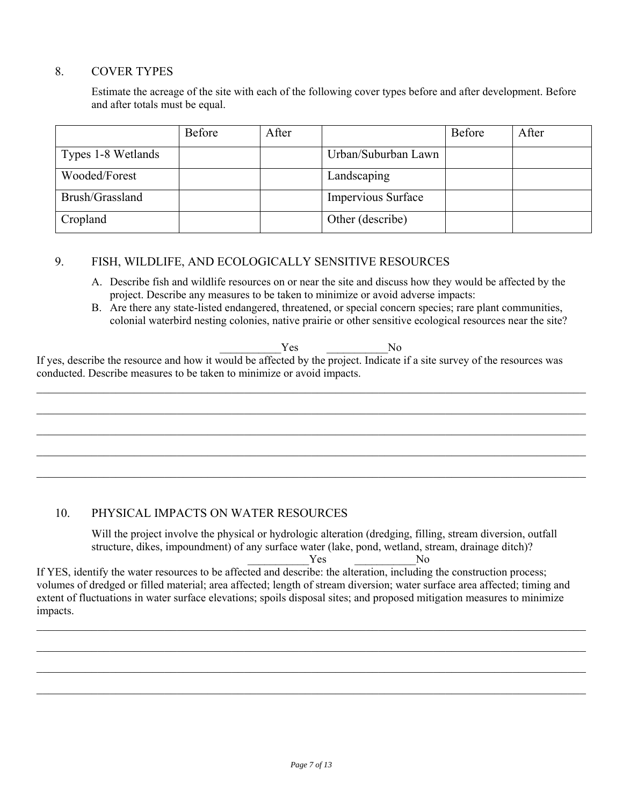#### 8. COVER TYPES

Estimate the acreage of the site with each of the following cover types before and after development. Before and after totals must be equal.

|                    | Before | After |                     | <b>Before</b> | After |
|--------------------|--------|-------|---------------------|---------------|-------|
| Types 1-8 Wetlands |        |       | Urban/Suburban Lawn |               |       |
| Wooded/Forest      |        |       | Landscaping         |               |       |
| Brush/Grassland    |        |       | Impervious Surface  |               |       |
| Cropland           |        |       | Other (describe)    |               |       |

#### 9. FISH, WILDLIFE, AND ECOLOGICALLY SENSITIVE RESOURCES

- A. Describe fish and wildlife resources on or near the site and discuss how they would be affected by the project. Describe any measures to be taken to minimize or avoid adverse impacts:
- B. Are there any state-listed endangered, threatened, or special concern species; rare plant communities, colonial waterbird nesting colonies, native prairie or other sensitive ecological resources near the site?

 $Yes$  No

If yes, describe the resource and how it would be affected by the project. Indicate if a site survey of the resources was conducted. Describe measures to be taken to minimize or avoid impacts.

 $\mathcal{L}_\mathcal{L} = \mathcal{L}_\mathcal{L} = \mathcal{L}_\mathcal{L} = \mathcal{L}_\mathcal{L} = \mathcal{L}_\mathcal{L} = \mathcal{L}_\mathcal{L} = \mathcal{L}_\mathcal{L} = \mathcal{L}_\mathcal{L} = \mathcal{L}_\mathcal{L} = \mathcal{L}_\mathcal{L} = \mathcal{L}_\mathcal{L} = \mathcal{L}_\mathcal{L} = \mathcal{L}_\mathcal{L} = \mathcal{L}_\mathcal{L} = \mathcal{L}_\mathcal{L} = \mathcal{L}_\mathcal{L} = \mathcal{L}_\mathcal{L}$  $\mathcal{L}_\mathcal{L} = \mathcal{L}_\mathcal{L} = \mathcal{L}_\mathcal{L} = \mathcal{L}_\mathcal{L} = \mathcal{L}_\mathcal{L} = \mathcal{L}_\mathcal{L} = \mathcal{L}_\mathcal{L} = \mathcal{L}_\mathcal{L} = \mathcal{L}_\mathcal{L} = \mathcal{L}_\mathcal{L} = \mathcal{L}_\mathcal{L} = \mathcal{L}_\mathcal{L} = \mathcal{L}_\mathcal{L} = \mathcal{L}_\mathcal{L} = \mathcal{L}_\mathcal{L} = \mathcal{L}_\mathcal{L} = \mathcal{L}_\mathcal{L}$  $\mathcal{L}_\mathcal{L} = \mathcal{L}_\mathcal{L} = \mathcal{L}_\mathcal{L} = \mathcal{L}_\mathcal{L} = \mathcal{L}_\mathcal{L} = \mathcal{L}_\mathcal{L} = \mathcal{L}_\mathcal{L} = \mathcal{L}_\mathcal{L} = \mathcal{L}_\mathcal{L} = \mathcal{L}_\mathcal{L} = \mathcal{L}_\mathcal{L} = \mathcal{L}_\mathcal{L} = \mathcal{L}_\mathcal{L} = \mathcal{L}_\mathcal{L} = \mathcal{L}_\mathcal{L} = \mathcal{L}_\mathcal{L} = \mathcal{L}_\mathcal{L}$  $\mathcal{L}_\mathcal{L} = \mathcal{L}_\mathcal{L} = \mathcal{L}_\mathcal{L} = \mathcal{L}_\mathcal{L} = \mathcal{L}_\mathcal{L} = \mathcal{L}_\mathcal{L} = \mathcal{L}_\mathcal{L} = \mathcal{L}_\mathcal{L} = \mathcal{L}_\mathcal{L} = \mathcal{L}_\mathcal{L} = \mathcal{L}_\mathcal{L} = \mathcal{L}_\mathcal{L} = \mathcal{L}_\mathcal{L} = \mathcal{L}_\mathcal{L} = \mathcal{L}_\mathcal{L} = \mathcal{L}_\mathcal{L} = \mathcal{L}_\mathcal{L}$  $\mathcal{L}_\mathcal{L} = \mathcal{L}_\mathcal{L} = \mathcal{L}_\mathcal{L} = \mathcal{L}_\mathcal{L} = \mathcal{L}_\mathcal{L} = \mathcal{L}_\mathcal{L} = \mathcal{L}_\mathcal{L} = \mathcal{L}_\mathcal{L} = \mathcal{L}_\mathcal{L} = \mathcal{L}_\mathcal{L} = \mathcal{L}_\mathcal{L} = \mathcal{L}_\mathcal{L} = \mathcal{L}_\mathcal{L} = \mathcal{L}_\mathcal{L} = \mathcal{L}_\mathcal{L} = \mathcal{L}_\mathcal{L} = \mathcal{L}_\mathcal{L}$ 

#### 10. PHYSICAL IMPACTS ON WATER RESOURCES

Will the project involve the physical or hydrologic alteration (dredging, filling, stream diversion, outfall structure, dikes, impoundment) of any surface water (lake, pond, wetland, stream, drainage ditch)?

 $Yes$  No

If YES, identify the water resources to be affected and describe: the alteration, including the construction process; volumes of dredged or filled material; area affected; length of stream diversion; water surface area affected; timing and extent of fluctuations in water surface elevations; spoils disposal sites; and proposed mitigation measures to minimize impacts.

 $\mathcal{L}_\mathcal{L} = \mathcal{L}_\mathcal{L} = \mathcal{L}_\mathcal{L} = \mathcal{L}_\mathcal{L} = \mathcal{L}_\mathcal{L} = \mathcal{L}_\mathcal{L} = \mathcal{L}_\mathcal{L} = \mathcal{L}_\mathcal{L} = \mathcal{L}_\mathcal{L} = \mathcal{L}_\mathcal{L} = \mathcal{L}_\mathcal{L} = \mathcal{L}_\mathcal{L} = \mathcal{L}_\mathcal{L} = \mathcal{L}_\mathcal{L} = \mathcal{L}_\mathcal{L} = \mathcal{L}_\mathcal{L} = \mathcal{L}_\mathcal{L}$ 

 $\mathcal{L}_\mathcal{L} = \mathcal{L}_\mathcal{L} = \mathcal{L}_\mathcal{L} = \mathcal{L}_\mathcal{L} = \mathcal{L}_\mathcal{L} = \mathcal{L}_\mathcal{L} = \mathcal{L}_\mathcal{L} = \mathcal{L}_\mathcal{L} = \mathcal{L}_\mathcal{L} = \mathcal{L}_\mathcal{L} = \mathcal{L}_\mathcal{L} = \mathcal{L}_\mathcal{L} = \mathcal{L}_\mathcal{L} = \mathcal{L}_\mathcal{L} = \mathcal{L}_\mathcal{L} = \mathcal{L}_\mathcal{L} = \mathcal{L}_\mathcal{L}$ 

 $\mathcal{L}_\mathcal{L} = \mathcal{L}_\mathcal{L} = \mathcal{L}_\mathcal{L} = \mathcal{L}_\mathcal{L} = \mathcal{L}_\mathcal{L} = \mathcal{L}_\mathcal{L} = \mathcal{L}_\mathcal{L} = \mathcal{L}_\mathcal{L} = \mathcal{L}_\mathcal{L} = \mathcal{L}_\mathcal{L} = \mathcal{L}_\mathcal{L} = \mathcal{L}_\mathcal{L} = \mathcal{L}_\mathcal{L} = \mathcal{L}_\mathcal{L} = \mathcal{L}_\mathcal{L} = \mathcal{L}_\mathcal{L} = \mathcal{L}_\mathcal{L}$ 

 $\mathcal{L}_\mathcal{L} = \mathcal{L}_\mathcal{L} = \mathcal{L}_\mathcal{L} = \mathcal{L}_\mathcal{L} = \mathcal{L}_\mathcal{L} = \mathcal{L}_\mathcal{L} = \mathcal{L}_\mathcal{L} = \mathcal{L}_\mathcal{L} = \mathcal{L}_\mathcal{L} = \mathcal{L}_\mathcal{L} = \mathcal{L}_\mathcal{L} = \mathcal{L}_\mathcal{L} = \mathcal{L}_\mathcal{L} = \mathcal{L}_\mathcal{L} = \mathcal{L}_\mathcal{L} = \mathcal{L}_\mathcal{L} = \mathcal{L}_\mathcal{L}$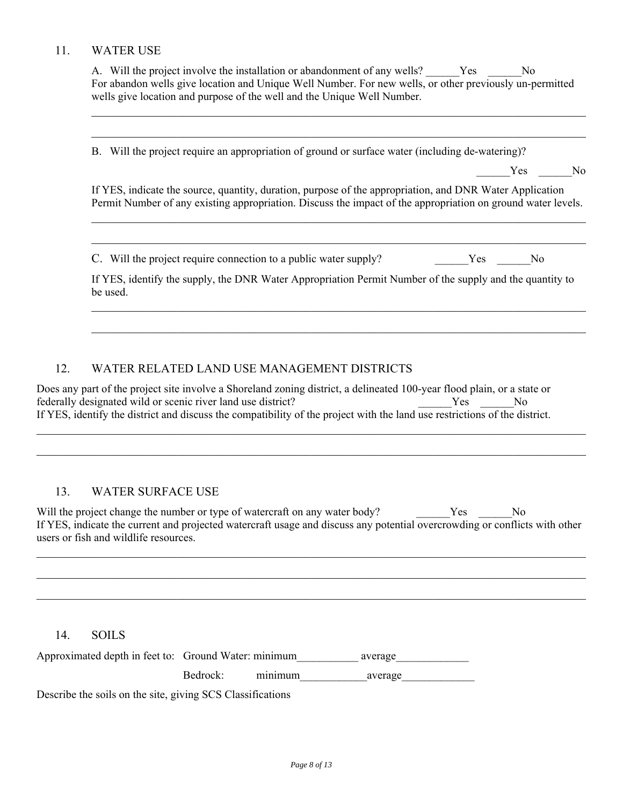#### 11. WATER USE

A. Will the project involve the installation or abandonment of any wells? Yes No For abandon wells give location and Unique Well Number. For new wells, or other previously un-permitted wells give location and purpose of the well and the Unique Well Number.

 $\mathcal{L}_\mathcal{L} = \{ \mathcal{L}_\mathcal{L} = \{ \mathcal{L}_\mathcal{L} = \{ \mathcal{L}_\mathcal{L} = \{ \mathcal{L}_\mathcal{L} = \{ \mathcal{L}_\mathcal{L} = \{ \mathcal{L}_\mathcal{L} = \{ \mathcal{L}_\mathcal{L} = \{ \mathcal{L}_\mathcal{L} = \{ \mathcal{L}_\mathcal{L} = \{ \mathcal{L}_\mathcal{L} = \{ \mathcal{L}_\mathcal{L} = \{ \mathcal{L}_\mathcal{L} = \{ \mathcal{L}_\mathcal{L} = \{ \mathcal{L}_\mathcal{$ 

 $\mathcal{L}_\mathcal{L} = \{ \mathcal{L}_\mathcal{L} = \{ \mathcal{L}_\mathcal{L} = \{ \mathcal{L}_\mathcal{L} = \{ \mathcal{L}_\mathcal{L} = \{ \mathcal{L}_\mathcal{L} = \{ \mathcal{L}_\mathcal{L} = \{ \mathcal{L}_\mathcal{L} = \{ \mathcal{L}_\mathcal{L} = \{ \mathcal{L}_\mathcal{L} = \{ \mathcal{L}_\mathcal{L} = \{ \mathcal{L}_\mathcal{L} = \{ \mathcal{L}_\mathcal{L} = \{ \mathcal{L}_\mathcal{L} = \{ \mathcal{L}_\mathcal{$ 

B. Will the project require an appropriation of ground or surface water (including de-watering)?

Yes No

If YES, indicate the source, quantity, duration, purpose of the appropriation, and DNR Water Application Permit Number of any existing appropriation. Discuss the impact of the appropriation on ground water levels.

 $\mathcal{L}_\mathcal{L} = \{ \mathcal{L}_\mathcal{L} = \{ \mathcal{L}_\mathcal{L} = \{ \mathcal{L}_\mathcal{L} = \{ \mathcal{L}_\mathcal{L} = \{ \mathcal{L}_\mathcal{L} = \{ \mathcal{L}_\mathcal{L} = \{ \mathcal{L}_\mathcal{L} = \{ \mathcal{L}_\mathcal{L} = \{ \mathcal{L}_\mathcal{L} = \{ \mathcal{L}_\mathcal{L} = \{ \mathcal{L}_\mathcal{L} = \{ \mathcal{L}_\mathcal{L} = \{ \mathcal{L}_\mathcal{L} = \{ \mathcal{L}_\mathcal{$ 

 $\mathcal{L}_\mathcal{L} = \{ \mathcal{L}_\mathcal{L} = \{ \mathcal{L}_\mathcal{L} = \{ \mathcal{L}_\mathcal{L} = \{ \mathcal{L}_\mathcal{L} = \{ \mathcal{L}_\mathcal{L} = \{ \mathcal{L}_\mathcal{L} = \{ \mathcal{L}_\mathcal{L} = \{ \mathcal{L}_\mathcal{L} = \{ \mathcal{L}_\mathcal{L} = \{ \mathcal{L}_\mathcal{L} = \{ \mathcal{L}_\mathcal{L} = \{ \mathcal{L}_\mathcal{L} = \{ \mathcal{L}_\mathcal{L} = \{ \mathcal{L}_\mathcal{$ 

C. Will the project require connection to a public water supply? Yes No

If YES, identify the supply, the DNR Water Appropriation Permit Number of the supply and the quantity to be used.

 $\mathcal{L}_\mathcal{L} = \{ \mathcal{L}_\mathcal{L} = \{ \mathcal{L}_\mathcal{L} = \{ \mathcal{L}_\mathcal{L} = \{ \mathcal{L}_\mathcal{L} = \{ \mathcal{L}_\mathcal{L} = \{ \mathcal{L}_\mathcal{L} = \{ \mathcal{L}_\mathcal{L} = \{ \mathcal{L}_\mathcal{L} = \{ \mathcal{L}_\mathcal{L} = \{ \mathcal{L}_\mathcal{L} = \{ \mathcal{L}_\mathcal{L} = \{ \mathcal{L}_\mathcal{L} = \{ \mathcal{L}_\mathcal{L} = \{ \mathcal{L}_\mathcal{$ 

 $\mathcal{L}_\mathcal{L} = \{ \mathcal{L}_\mathcal{L} = \{ \mathcal{L}_\mathcal{L} = \{ \mathcal{L}_\mathcal{L} = \{ \mathcal{L}_\mathcal{L} = \{ \mathcal{L}_\mathcal{L} = \{ \mathcal{L}_\mathcal{L} = \{ \mathcal{L}_\mathcal{L} = \{ \mathcal{L}_\mathcal{L} = \{ \mathcal{L}_\mathcal{L} = \{ \mathcal{L}_\mathcal{L} = \{ \mathcal{L}_\mathcal{L} = \{ \mathcal{L}_\mathcal{L} = \{ \mathcal{L}_\mathcal{L} = \{ \mathcal{L}_\mathcal{$ 

#### 12. WATER RELATED LAND USE MANAGEMENT DISTRICTS

Does any part of the project site involve a Shoreland zoning district, a delineated 100-year flood plain, or a state or federally designated wild or scenic river land use district? The Second Press, the Second Press, No. 2013. The Second Press, No. 2013. The Second Press, No. 2013. The Second Press, No. 2013. The Second Press, No. 2013. The If YES, identify the district and discuss the compatibility of the project with the land use restrictions of the district.

 $\mathcal{L}_\mathcal{L} = \mathcal{L}_\mathcal{L} = \mathcal{L}_\mathcal{L} = \mathcal{L}_\mathcal{L} = \mathcal{L}_\mathcal{L} = \mathcal{L}_\mathcal{L} = \mathcal{L}_\mathcal{L} = \mathcal{L}_\mathcal{L} = \mathcal{L}_\mathcal{L} = \mathcal{L}_\mathcal{L} = \mathcal{L}_\mathcal{L} = \mathcal{L}_\mathcal{L} = \mathcal{L}_\mathcal{L} = \mathcal{L}_\mathcal{L} = \mathcal{L}_\mathcal{L} = \mathcal{L}_\mathcal{L} = \mathcal{L}_\mathcal{L}$ 

 $\mathcal{L}_\mathcal{L} = \mathcal{L}_\mathcal{L} = \mathcal{L}_\mathcal{L} = \mathcal{L}_\mathcal{L} = \mathcal{L}_\mathcal{L} = \mathcal{L}_\mathcal{L} = \mathcal{L}_\mathcal{L} = \mathcal{L}_\mathcal{L} = \mathcal{L}_\mathcal{L} = \mathcal{L}_\mathcal{L} = \mathcal{L}_\mathcal{L} = \mathcal{L}_\mathcal{L} = \mathcal{L}_\mathcal{L} = \mathcal{L}_\mathcal{L} = \mathcal{L}_\mathcal{L} = \mathcal{L}_\mathcal{L} = \mathcal{L}_\mathcal{L}$ 

#### 13. WATER SURFACE USE

Will the project change the number or type of watercraft on any water body? Yes No If YES, indicate the current and projected watercraft usage and discuss any potential overcrowding or conflicts with other users or fish and wildlife resources.

 $\mathcal{L}_\mathcal{L} = \mathcal{L}_\mathcal{L} = \mathcal{L}_\mathcal{L} = \mathcal{L}_\mathcal{L} = \mathcal{L}_\mathcal{L} = \mathcal{L}_\mathcal{L} = \mathcal{L}_\mathcal{L} = \mathcal{L}_\mathcal{L} = \mathcal{L}_\mathcal{L} = \mathcal{L}_\mathcal{L} = \mathcal{L}_\mathcal{L} = \mathcal{L}_\mathcal{L} = \mathcal{L}_\mathcal{L} = \mathcal{L}_\mathcal{L} = \mathcal{L}_\mathcal{L} = \mathcal{L}_\mathcal{L} = \mathcal{L}_\mathcal{L}$ 

 $\mathcal{L}_\mathcal{L} = \mathcal{L}_\mathcal{L} = \mathcal{L}_\mathcal{L} = \mathcal{L}_\mathcal{L} = \mathcal{L}_\mathcal{L} = \mathcal{L}_\mathcal{L} = \mathcal{L}_\mathcal{L} = \mathcal{L}_\mathcal{L} = \mathcal{L}_\mathcal{L} = \mathcal{L}_\mathcal{L} = \mathcal{L}_\mathcal{L} = \mathcal{L}_\mathcal{L} = \mathcal{L}_\mathcal{L} = \mathcal{L}_\mathcal{L} = \mathcal{L}_\mathcal{L} = \mathcal{L}_\mathcal{L} = \mathcal{L}_\mathcal{L}$ 

 $\mathcal{L}_\mathcal{L} = \mathcal{L}_\mathcal{L} = \mathcal{L}_\mathcal{L} = \mathcal{L}_\mathcal{L} = \mathcal{L}_\mathcal{L} = \mathcal{L}_\mathcal{L} = \mathcal{L}_\mathcal{L} = \mathcal{L}_\mathcal{L} = \mathcal{L}_\mathcal{L} = \mathcal{L}_\mathcal{L} = \mathcal{L}_\mathcal{L} = \mathcal{L}_\mathcal{L} = \mathcal{L}_\mathcal{L} = \mathcal{L}_\mathcal{L} = \mathcal{L}_\mathcal{L} = \mathcal{L}_\mathcal{L} = \mathcal{L}_\mathcal{L}$ 

#### 14. SOILS

| Approximated depth in feet to: Ground Water: minimum |          |         | average |
|------------------------------------------------------|----------|---------|---------|
|                                                      | Bedrock: | minimum | average |

Describe the soils on the site, giving SCS Classifications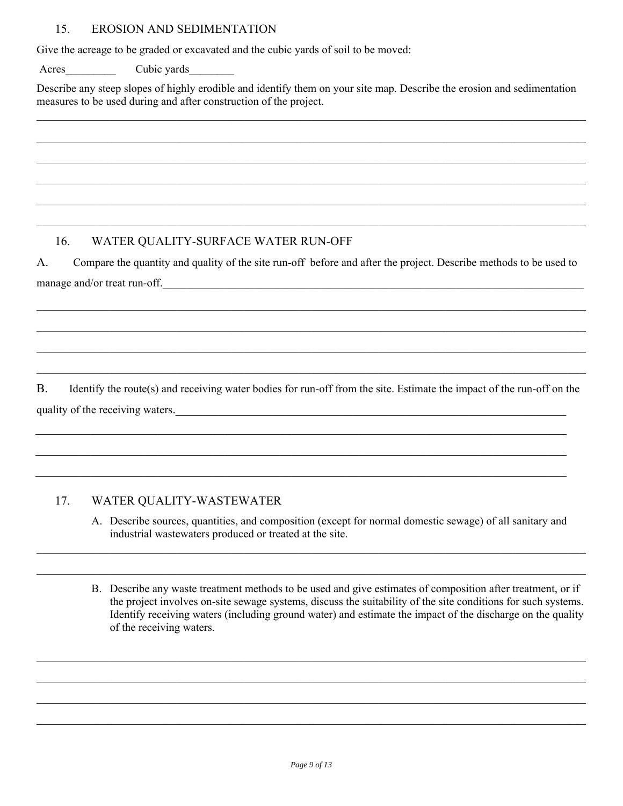#### 15. EROSION AND SEDIMENTATION

Give the acreage to be graded or excavated and the cubic yards of soil to be moved:

Acres Cubic yards

Describe any steep slopes of highly erodible and identify them on your site map. Describe the erosion and sedimentation measures to be used during and after construction of the project.

 $\mathcal{L}_\mathcal{L} = \mathcal{L}_\mathcal{L} = \mathcal{L}_\mathcal{L} = \mathcal{L}_\mathcal{L} = \mathcal{L}_\mathcal{L} = \mathcal{L}_\mathcal{L} = \mathcal{L}_\mathcal{L} = \mathcal{L}_\mathcal{L} = \mathcal{L}_\mathcal{L} = \mathcal{L}_\mathcal{L} = \mathcal{L}_\mathcal{L} = \mathcal{L}_\mathcal{L} = \mathcal{L}_\mathcal{L} = \mathcal{L}_\mathcal{L} = \mathcal{L}_\mathcal{L} = \mathcal{L}_\mathcal{L} = \mathcal{L}_\mathcal{L}$ 

 $\mathcal{L}_\mathcal{L} = \mathcal{L}_\mathcal{L} = \mathcal{L}_\mathcal{L} = \mathcal{L}_\mathcal{L} = \mathcal{L}_\mathcal{L} = \mathcal{L}_\mathcal{L} = \mathcal{L}_\mathcal{L} = \mathcal{L}_\mathcal{L} = \mathcal{L}_\mathcal{L} = \mathcal{L}_\mathcal{L} = \mathcal{L}_\mathcal{L} = \mathcal{L}_\mathcal{L} = \mathcal{L}_\mathcal{L} = \mathcal{L}_\mathcal{L} = \mathcal{L}_\mathcal{L} = \mathcal{L}_\mathcal{L} = \mathcal{L}_\mathcal{L}$ 

 $\mathcal{L}_\mathcal{L} = \mathcal{L}_\mathcal{L} = \mathcal{L}_\mathcal{L} = \mathcal{L}_\mathcal{L} = \mathcal{L}_\mathcal{L} = \mathcal{L}_\mathcal{L} = \mathcal{L}_\mathcal{L} = \mathcal{L}_\mathcal{L} = \mathcal{L}_\mathcal{L} = \mathcal{L}_\mathcal{L} = \mathcal{L}_\mathcal{L} = \mathcal{L}_\mathcal{L} = \mathcal{L}_\mathcal{L} = \mathcal{L}_\mathcal{L} = \mathcal{L}_\mathcal{L} = \mathcal{L}_\mathcal{L} = \mathcal{L}_\mathcal{L}$ 

 $\mathcal{L}_\mathcal{L} = \mathcal{L}_\mathcal{L} = \mathcal{L}_\mathcal{L} = \mathcal{L}_\mathcal{L} = \mathcal{L}_\mathcal{L} = \mathcal{L}_\mathcal{L} = \mathcal{L}_\mathcal{L} = \mathcal{L}_\mathcal{L} = \mathcal{L}_\mathcal{L} = \mathcal{L}_\mathcal{L} = \mathcal{L}_\mathcal{L} = \mathcal{L}_\mathcal{L} = \mathcal{L}_\mathcal{L} = \mathcal{L}_\mathcal{L} = \mathcal{L}_\mathcal{L} = \mathcal{L}_\mathcal{L} = \mathcal{L}_\mathcal{L}$ 

 $\mathcal{L}_\mathcal{L} = \mathcal{L}_\mathcal{L} = \mathcal{L}_\mathcal{L} = \mathcal{L}_\mathcal{L} = \mathcal{L}_\mathcal{L} = \mathcal{L}_\mathcal{L} = \mathcal{L}_\mathcal{L} = \mathcal{L}_\mathcal{L} = \mathcal{L}_\mathcal{L} = \mathcal{L}_\mathcal{L} = \mathcal{L}_\mathcal{L} = \mathcal{L}_\mathcal{L} = \mathcal{L}_\mathcal{L} = \mathcal{L}_\mathcal{L} = \mathcal{L}_\mathcal{L} = \mathcal{L}_\mathcal{L} = \mathcal{L}_\mathcal{L}$ 

 $\mathcal{L}_\mathcal{L} = \mathcal{L}_\mathcal{L} = \mathcal{L}_\mathcal{L} = \mathcal{L}_\mathcal{L} = \mathcal{L}_\mathcal{L} = \mathcal{L}_\mathcal{L} = \mathcal{L}_\mathcal{L} = \mathcal{L}_\mathcal{L} = \mathcal{L}_\mathcal{L} = \mathcal{L}_\mathcal{L} = \mathcal{L}_\mathcal{L} = \mathcal{L}_\mathcal{L} = \mathcal{L}_\mathcal{L} = \mathcal{L}_\mathcal{L} = \mathcal{L}_\mathcal{L} = \mathcal{L}_\mathcal{L} = \mathcal{L}_\mathcal{L}$ 

## 16. WATER QUALITY-SURFACE WATER RUN-OFF

A. Compare the quantity and quality of the site run-off before and after the project. Describe methods to be used to manage and/or treat run-off.

 $\_$  , and the contribution of the contribution of the contribution of the contribution of the contribution of  $\mathcal{L}_\text{max}$ 

 $\_$  , and the contribution of the contribution of the contribution of the contribution of the contribution of  $\mathcal{L}_\text{max}$ 

 $\_$  , and the contribution of the contribution of the contribution of the contribution of the contribution of  $\mathcal{L}_\text{max}$ 

 $\_$  , and the contribution of the contribution of the contribution of the contribution of the contribution of  $\mathcal{L}_\text{max}$ 

B. Identify the route(s) and receiving water bodies for run-off from the site. Estimate the impact of the run-off on the quality of the receiving waters.

 $\mathcal{L}_\mathcal{L} = \{ \mathcal{L}_\mathcal{L} = \{ \mathcal{L}_\mathcal{L} = \{ \mathcal{L}_\mathcal{L} = \{ \mathcal{L}_\mathcal{L} = \{ \mathcal{L}_\mathcal{L} = \{ \mathcal{L}_\mathcal{L} = \{ \mathcal{L}_\mathcal{L} = \{ \mathcal{L}_\mathcal{L} = \{ \mathcal{L}_\mathcal{L} = \{ \mathcal{L}_\mathcal{L} = \{ \mathcal{L}_\mathcal{L} = \{ \mathcal{L}_\mathcal{L} = \{ \mathcal{L}_\mathcal{L} = \{ \mathcal{L}_\mathcal{$ 

 $\mathcal{L}_\mathcal{L} = \{ \mathcal{L}_\mathcal{L} = \{ \mathcal{L}_\mathcal{L} = \{ \mathcal{L}_\mathcal{L} = \{ \mathcal{L}_\mathcal{L} = \{ \mathcal{L}_\mathcal{L} = \{ \mathcal{L}_\mathcal{L} = \{ \mathcal{L}_\mathcal{L} = \{ \mathcal{L}_\mathcal{L} = \{ \mathcal{L}_\mathcal{L} = \{ \mathcal{L}_\mathcal{L} = \{ \mathcal{L}_\mathcal{L} = \{ \mathcal{L}_\mathcal{L} = \{ \mathcal{L}_\mathcal{L} = \{ \mathcal{L}_\mathcal{$ 

 $\mathcal{L}_\mathcal{L} = \{ \mathcal{L}_\mathcal{L} = \{ \mathcal{L}_\mathcal{L} = \{ \mathcal{L}_\mathcal{L} = \{ \mathcal{L}_\mathcal{L} = \{ \mathcal{L}_\mathcal{L} = \{ \mathcal{L}_\mathcal{L} = \{ \mathcal{L}_\mathcal{L} = \{ \mathcal{L}_\mathcal{L} = \{ \mathcal{L}_\mathcal{L} = \{ \mathcal{L}_\mathcal{L} = \{ \mathcal{L}_\mathcal{L} = \{ \mathcal{L}_\mathcal{L} = \{ \mathcal{L}_\mathcal{L} = \{ \mathcal{L}_\mathcal{$ 

#### 17. WATER QUALITY-WASTEWATER

A. Describe sources, quantities, and composition (except for normal domestic sewage) of all sanitary and industrial wastewaters produced or treated at the site.

 $\mathcal{L}_\mathcal{L} = \mathcal{L}_\mathcal{L} = \mathcal{L}_\mathcal{L} = \mathcal{L}_\mathcal{L} = \mathcal{L}_\mathcal{L} = \mathcal{L}_\mathcal{L} = \mathcal{L}_\mathcal{L} = \mathcal{L}_\mathcal{L} = \mathcal{L}_\mathcal{L} = \mathcal{L}_\mathcal{L} = \mathcal{L}_\mathcal{L} = \mathcal{L}_\mathcal{L} = \mathcal{L}_\mathcal{L} = \mathcal{L}_\mathcal{L} = \mathcal{L}_\mathcal{L} = \mathcal{L}_\mathcal{L} = \mathcal{L}_\mathcal{L}$ 

 $\mathcal{L}_\mathcal{L} = \mathcal{L}_\mathcal{L} = \mathcal{L}_\mathcal{L} = \mathcal{L}_\mathcal{L} = \mathcal{L}_\mathcal{L} = \mathcal{L}_\mathcal{L} = \mathcal{L}_\mathcal{L} = \mathcal{L}_\mathcal{L} = \mathcal{L}_\mathcal{L} = \mathcal{L}_\mathcal{L} = \mathcal{L}_\mathcal{L} = \mathcal{L}_\mathcal{L} = \mathcal{L}_\mathcal{L} = \mathcal{L}_\mathcal{L} = \mathcal{L}_\mathcal{L} = \mathcal{L}_\mathcal{L} = \mathcal{L}_\mathcal{L}$ 

 $\mathcal{L}_\mathcal{L} = \mathcal{L}_\mathcal{L} = \mathcal{L}_\mathcal{L} = \mathcal{L}_\mathcal{L} = \mathcal{L}_\mathcal{L} = \mathcal{L}_\mathcal{L} = \mathcal{L}_\mathcal{L} = \mathcal{L}_\mathcal{L} = \mathcal{L}_\mathcal{L} = \mathcal{L}_\mathcal{L} = \mathcal{L}_\mathcal{L} = \mathcal{L}_\mathcal{L} = \mathcal{L}_\mathcal{L} = \mathcal{L}_\mathcal{L} = \mathcal{L}_\mathcal{L} = \mathcal{L}_\mathcal{L} = \mathcal{L}_\mathcal{L}$ 

 $\mathcal{L}_\mathcal{L} = \mathcal{L}_\mathcal{L} = \mathcal{L}_\mathcal{L} = \mathcal{L}_\mathcal{L} = \mathcal{L}_\mathcal{L} = \mathcal{L}_\mathcal{L} = \mathcal{L}_\mathcal{L} = \mathcal{L}_\mathcal{L} = \mathcal{L}_\mathcal{L} = \mathcal{L}_\mathcal{L} = \mathcal{L}_\mathcal{L} = \mathcal{L}_\mathcal{L} = \mathcal{L}_\mathcal{L} = \mathcal{L}_\mathcal{L} = \mathcal{L}_\mathcal{L} = \mathcal{L}_\mathcal{L} = \mathcal{L}_\mathcal{L}$ 

 $\mathcal{L}_\mathcal{L} = \mathcal{L}_\mathcal{L} = \mathcal{L}_\mathcal{L} = \mathcal{L}_\mathcal{L} = \mathcal{L}_\mathcal{L} = \mathcal{L}_\mathcal{L} = \mathcal{L}_\mathcal{L} = \mathcal{L}_\mathcal{L} = \mathcal{L}_\mathcal{L} = \mathcal{L}_\mathcal{L} = \mathcal{L}_\mathcal{L} = \mathcal{L}_\mathcal{L} = \mathcal{L}_\mathcal{L} = \mathcal{L}_\mathcal{L} = \mathcal{L}_\mathcal{L} = \mathcal{L}_\mathcal{L} = \mathcal{L}_\mathcal{L}$ 

 $\mathcal{L}_\mathcal{L} = \mathcal{L}_\mathcal{L} = \mathcal{L}_\mathcal{L} = \mathcal{L}_\mathcal{L} = \mathcal{L}_\mathcal{L} = \mathcal{L}_\mathcal{L} = \mathcal{L}_\mathcal{L} = \mathcal{L}_\mathcal{L} = \mathcal{L}_\mathcal{L} = \mathcal{L}_\mathcal{L} = \mathcal{L}_\mathcal{L} = \mathcal{L}_\mathcal{L} = \mathcal{L}_\mathcal{L} = \mathcal{L}_\mathcal{L} = \mathcal{L}_\mathcal{L} = \mathcal{L}_\mathcal{L} = \mathcal{L}_\mathcal{L}$ 

B. Describe any waste treatment methods to be used and give estimates of composition after treatment, or if the project involves on-site sewage systems, discuss the suitability of the site conditions for such systems. Identify receiving waters (including ground water) and estimate the impact of the discharge on the quality of the receiving waters.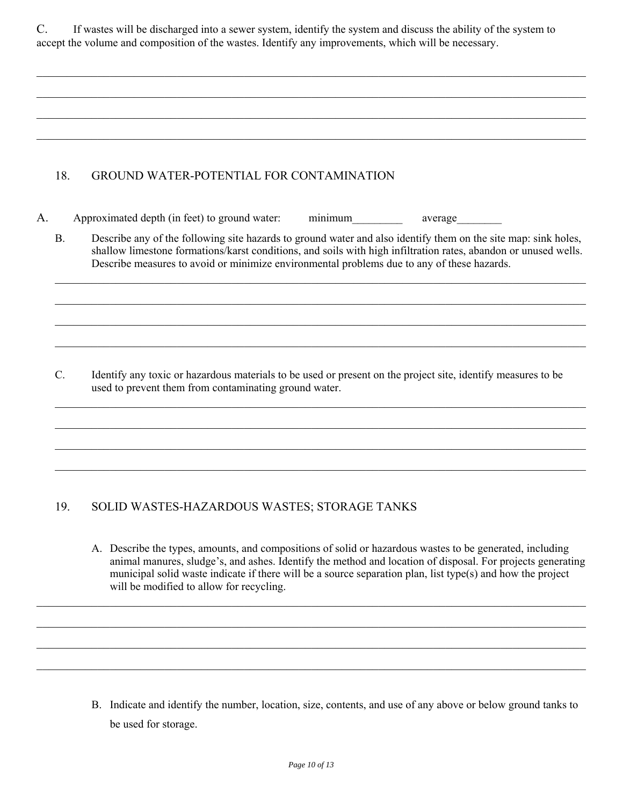| U. | If was tes will be discharged into a sewer system, identify the system and discuss the ability of the system to |
|----|-----------------------------------------------------------------------------------------------------------------|
|    | accept the volume and composition of the wastes. Identify any improvements, which will be necessary.            |

 $\_$  , and the contribution of the contribution of the contribution of the contribution of the contribution of  $\mathcal{L}_\text{max}$ 

 $\mathcal{L}_\mathcal{L} = \mathcal{L}_\mathcal{L} = \mathcal{L}_\mathcal{L} = \mathcal{L}_\mathcal{L} = \mathcal{L}_\mathcal{L} = \mathcal{L}_\mathcal{L} = \mathcal{L}_\mathcal{L} = \mathcal{L}_\mathcal{L} = \mathcal{L}_\mathcal{L} = \mathcal{L}_\mathcal{L} = \mathcal{L}_\mathcal{L} = \mathcal{L}_\mathcal{L} = \mathcal{L}_\mathcal{L} = \mathcal{L}_\mathcal{L} = \mathcal{L}_\mathcal{L} = \mathcal{L}_\mathcal{L} = \mathcal{L}_\mathcal{L}$ 

 $\_$  , and the contribution of the contribution of the contribution of the contribution of the contribution of  $\mathcal{L}_\text{max}$ 

 $\_$  , and the contribution of the contribution of the contribution of the contribution of the contribution of  $\mathcal{L}_\text{max}$ 

#### 18. GROUND WATER-POTENTIAL FOR CONTAMINATION

- A. Approximated depth (in feet) to ground water: minimum average
	- B. Describe any of the following site hazards to ground water and also identify them on the site map: sink holes, shallow limestone formations/karst conditions, and soils with high infiltration rates, abandon or unused wells. Describe measures to avoid or minimize environmental problems due to any of these hazards.

 $\mathcal{L}_\mathcal{L} = \{ \mathcal{L}_\mathcal{L} = \{ \mathcal{L}_\mathcal{L} = \{ \mathcal{L}_\mathcal{L} = \{ \mathcal{L}_\mathcal{L} = \{ \mathcal{L}_\mathcal{L} = \{ \mathcal{L}_\mathcal{L} = \{ \mathcal{L}_\mathcal{L} = \{ \mathcal{L}_\mathcal{L} = \{ \mathcal{L}_\mathcal{L} = \{ \mathcal{L}_\mathcal{L} = \{ \mathcal{L}_\mathcal{L} = \{ \mathcal{L}_\mathcal{L} = \{ \mathcal{L}_\mathcal{L} = \{ \mathcal{L}_\mathcal{$ 

 $\mathcal{L}_\mathcal{L} = \{ \mathcal{L}_\mathcal{L} = \{ \mathcal{L}_\mathcal{L} = \{ \mathcal{L}_\mathcal{L} = \{ \mathcal{L}_\mathcal{L} = \{ \mathcal{L}_\mathcal{L} = \{ \mathcal{L}_\mathcal{L} = \{ \mathcal{L}_\mathcal{L} = \{ \mathcal{L}_\mathcal{L} = \{ \mathcal{L}_\mathcal{L} = \{ \mathcal{L}_\mathcal{L} = \{ \mathcal{L}_\mathcal{L} = \{ \mathcal{L}_\mathcal{L} = \{ \mathcal{L}_\mathcal{L} = \{ \mathcal{L}_\mathcal{$ 

 $\mathcal{L}_\mathcal{L} = \{ \mathcal{L}_\mathcal{L} = \{ \mathcal{L}_\mathcal{L} = \{ \mathcal{L}_\mathcal{L} = \{ \mathcal{L}_\mathcal{L} = \{ \mathcal{L}_\mathcal{L} = \{ \mathcal{L}_\mathcal{L} = \{ \mathcal{L}_\mathcal{L} = \{ \mathcal{L}_\mathcal{L} = \{ \mathcal{L}_\mathcal{L} = \{ \mathcal{L}_\mathcal{L} = \{ \mathcal{L}_\mathcal{L} = \{ \mathcal{L}_\mathcal{L} = \{ \mathcal{L}_\mathcal{L} = \{ \mathcal{L}_\mathcal{$ 

 $\mathcal{L}_\mathcal{L} = \{ \mathcal{L}_\mathcal{L} = \{ \mathcal{L}_\mathcal{L} = \{ \mathcal{L}_\mathcal{L} = \{ \mathcal{L}_\mathcal{L} = \{ \mathcal{L}_\mathcal{L} = \{ \mathcal{L}_\mathcal{L} = \{ \mathcal{L}_\mathcal{L} = \{ \mathcal{L}_\mathcal{L} = \{ \mathcal{L}_\mathcal{L} = \{ \mathcal{L}_\mathcal{L} = \{ \mathcal{L}_\mathcal{L} = \{ \mathcal{L}_\mathcal{L} = \{ \mathcal{L}_\mathcal{L} = \{ \mathcal{L}_\mathcal{$ 

 $\mathcal{L}_\mathcal{L} = \{ \mathcal{L}_\mathcal{L} = \{ \mathcal{L}_\mathcal{L} = \{ \mathcal{L}_\mathcal{L} = \{ \mathcal{L}_\mathcal{L} = \{ \mathcal{L}_\mathcal{L} = \{ \mathcal{L}_\mathcal{L} = \{ \mathcal{L}_\mathcal{L} = \{ \mathcal{L}_\mathcal{L} = \{ \mathcal{L}_\mathcal{L} = \{ \mathcal{L}_\mathcal{L} = \{ \mathcal{L}_\mathcal{L} = \{ \mathcal{L}_\mathcal{L} = \{ \mathcal{L}_\mathcal{L} = \{ \mathcal{L}_\mathcal{$ 

 $\mathcal{L}_\mathcal{L} = \{ \mathcal{L}_\mathcal{L} = \{ \mathcal{L}_\mathcal{L} = \{ \mathcal{L}_\mathcal{L} = \{ \mathcal{L}_\mathcal{L} = \{ \mathcal{L}_\mathcal{L} = \{ \mathcal{L}_\mathcal{L} = \{ \mathcal{L}_\mathcal{L} = \{ \mathcal{L}_\mathcal{L} = \{ \mathcal{L}_\mathcal{L} = \{ \mathcal{L}_\mathcal{L} = \{ \mathcal{L}_\mathcal{L} = \{ \mathcal{L}_\mathcal{L} = \{ \mathcal{L}_\mathcal{L} = \{ \mathcal{L}_\mathcal{$ 

 $\mathcal{L}_\mathcal{L} = \{ \mathcal{L}_\mathcal{L} = \{ \mathcal{L}_\mathcal{L} = \{ \mathcal{L}_\mathcal{L} = \{ \mathcal{L}_\mathcal{L} = \{ \mathcal{L}_\mathcal{L} = \{ \mathcal{L}_\mathcal{L} = \{ \mathcal{L}_\mathcal{L} = \{ \mathcal{L}_\mathcal{L} = \{ \mathcal{L}_\mathcal{L} = \{ \mathcal{L}_\mathcal{L} = \{ \mathcal{L}_\mathcal{L} = \{ \mathcal{L}_\mathcal{L} = \{ \mathcal{L}_\mathcal{L} = \{ \mathcal{L}_\mathcal{$ 

 $\mathcal{L}_\mathcal{L} = \{ \mathcal{L}_\mathcal{L} = \{ \mathcal{L}_\mathcal{L} = \{ \mathcal{L}_\mathcal{L} = \{ \mathcal{L}_\mathcal{L} = \{ \mathcal{L}_\mathcal{L} = \{ \mathcal{L}_\mathcal{L} = \{ \mathcal{L}_\mathcal{L} = \{ \mathcal{L}_\mathcal{L} = \{ \mathcal{L}_\mathcal{L} = \{ \mathcal{L}_\mathcal{L} = \{ \mathcal{L}_\mathcal{L} = \{ \mathcal{L}_\mathcal{L} = \{ \mathcal{L}_\mathcal{L} = \{ \mathcal{L}_\mathcal{$ 

C. Identify any toxic or hazardous materials to be used or present on the project site, identify measures to be used to prevent them from contaminating ground water.

#### 19. SOLID WASTES-HAZARDOUS WASTES; STORAGE TANKS

A. Describe the types, amounts, and compositions of solid or hazardous wastes to be generated, including animal manures, sludge's, and ashes. Identify the method and location of disposal. For projects generating municipal solid waste indicate if there will be a source separation plan, list type(s) and how the project will be modified to allow for recycling.

B. Indicate and identify the number, location, size, contents, and use of any above or below ground tanks to be used for storage.

 $\mathcal{L}_\mathcal{L} = \mathcal{L}_\mathcal{L} = \mathcal{L}_\mathcal{L} = \mathcal{L}_\mathcal{L} = \mathcal{L}_\mathcal{L} = \mathcal{L}_\mathcal{L} = \mathcal{L}_\mathcal{L} = \mathcal{L}_\mathcal{L} = \mathcal{L}_\mathcal{L} = \mathcal{L}_\mathcal{L} = \mathcal{L}_\mathcal{L} = \mathcal{L}_\mathcal{L} = \mathcal{L}_\mathcal{L} = \mathcal{L}_\mathcal{L} = \mathcal{L}_\mathcal{L} = \mathcal{L}_\mathcal{L} = \mathcal{L}_\mathcal{L}$ 

 $\mathcal{L}_\mathcal{L} = \mathcal{L}_\mathcal{L} = \mathcal{L}_\mathcal{L} = \mathcal{L}_\mathcal{L} = \mathcal{L}_\mathcal{L} = \mathcal{L}_\mathcal{L} = \mathcal{L}_\mathcal{L} = \mathcal{L}_\mathcal{L} = \mathcal{L}_\mathcal{L} = \mathcal{L}_\mathcal{L} = \mathcal{L}_\mathcal{L} = \mathcal{L}_\mathcal{L} = \mathcal{L}_\mathcal{L} = \mathcal{L}_\mathcal{L} = \mathcal{L}_\mathcal{L} = \mathcal{L}_\mathcal{L} = \mathcal{L}_\mathcal{L}$ 

 $\mathcal{L}_\mathcal{L} = \mathcal{L}_\mathcal{L} = \mathcal{L}_\mathcal{L} = \mathcal{L}_\mathcal{L} = \mathcal{L}_\mathcal{L} = \mathcal{L}_\mathcal{L} = \mathcal{L}_\mathcal{L} = \mathcal{L}_\mathcal{L} = \mathcal{L}_\mathcal{L} = \mathcal{L}_\mathcal{L} = \mathcal{L}_\mathcal{L} = \mathcal{L}_\mathcal{L} = \mathcal{L}_\mathcal{L} = \mathcal{L}_\mathcal{L} = \mathcal{L}_\mathcal{L} = \mathcal{L}_\mathcal{L} = \mathcal{L}_\mathcal{L}$ 

 $\mathcal{L}_\mathcal{L} = \mathcal{L}_\mathcal{L} = \mathcal{L}_\mathcal{L} = \mathcal{L}_\mathcal{L} = \mathcal{L}_\mathcal{L} = \mathcal{L}_\mathcal{L} = \mathcal{L}_\mathcal{L} = \mathcal{L}_\mathcal{L} = \mathcal{L}_\mathcal{L} = \mathcal{L}_\mathcal{L} = \mathcal{L}_\mathcal{L} = \mathcal{L}_\mathcal{L} = \mathcal{L}_\mathcal{L} = \mathcal{L}_\mathcal{L} = \mathcal{L}_\mathcal{L} = \mathcal{L}_\mathcal{L} = \mathcal{L}_\mathcal{L}$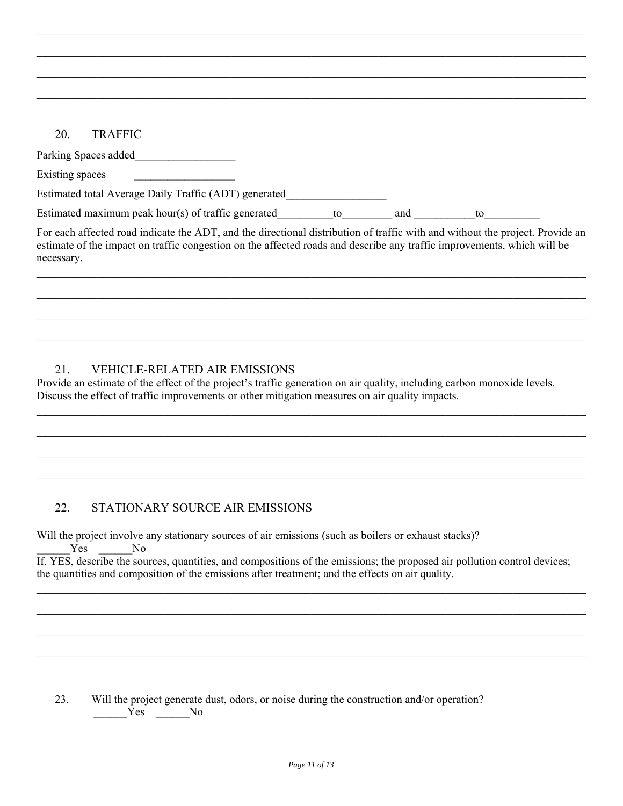#### 20. TRAFFIC

| Parking Spaces added                                  |    |     |    |  |
|-------------------------------------------------------|----|-----|----|--|
| Existing spaces                                       |    |     |    |  |
| Estimated total Average Daily Traffic (ADT) generated |    |     |    |  |
| Estimated maximum peak hour(s) of traffic generated   | tΩ | and | tΩ |  |
|                                                       |    |     |    |  |

 $\mathcal{L}_\mathcal{L} = \mathcal{L}_\mathcal{L} = \mathcal{L}_\mathcal{L} = \mathcal{L}_\mathcal{L} = \mathcal{L}_\mathcal{L} = \mathcal{L}_\mathcal{L} = \mathcal{L}_\mathcal{L} = \mathcal{L}_\mathcal{L} = \mathcal{L}_\mathcal{L} = \mathcal{L}_\mathcal{L} = \mathcal{L}_\mathcal{L} = \mathcal{L}_\mathcal{L} = \mathcal{L}_\mathcal{L} = \mathcal{L}_\mathcal{L} = \mathcal{L}_\mathcal{L} = \mathcal{L}_\mathcal{L} = \mathcal{L}_\mathcal{L}$ 

 $\mathcal{L}_\mathcal{L} = \mathcal{L}_\mathcal{L} = \mathcal{L}_\mathcal{L} = \mathcal{L}_\mathcal{L} = \mathcal{L}_\mathcal{L} = \mathcal{L}_\mathcal{L} = \mathcal{L}_\mathcal{L} = \mathcal{L}_\mathcal{L} = \mathcal{L}_\mathcal{L} = \mathcal{L}_\mathcal{L} = \mathcal{L}_\mathcal{L} = \mathcal{L}_\mathcal{L} = \mathcal{L}_\mathcal{L} = \mathcal{L}_\mathcal{L} = \mathcal{L}_\mathcal{L} = \mathcal{L}_\mathcal{L} = \mathcal{L}_\mathcal{L}$ 

 $\mathcal{L}_\mathcal{L} = \mathcal{L}_\mathcal{L} = \mathcal{L}_\mathcal{L} = \mathcal{L}_\mathcal{L} = \mathcal{L}_\mathcal{L} = \mathcal{L}_\mathcal{L} = \mathcal{L}_\mathcal{L} = \mathcal{L}_\mathcal{L} = \mathcal{L}_\mathcal{L} = \mathcal{L}_\mathcal{L} = \mathcal{L}_\mathcal{L} = \mathcal{L}_\mathcal{L} = \mathcal{L}_\mathcal{L} = \mathcal{L}_\mathcal{L} = \mathcal{L}_\mathcal{L} = \mathcal{L}_\mathcal{L} = \mathcal{L}_\mathcal{L}$ 

 $\mathcal{L}_\mathcal{L} = \mathcal{L}_\mathcal{L} = \mathcal{L}_\mathcal{L} = \mathcal{L}_\mathcal{L} = \mathcal{L}_\mathcal{L} = \mathcal{L}_\mathcal{L} = \mathcal{L}_\mathcal{L} = \mathcal{L}_\mathcal{L} = \mathcal{L}_\mathcal{L} = \mathcal{L}_\mathcal{L} = \mathcal{L}_\mathcal{L} = \mathcal{L}_\mathcal{L} = \mathcal{L}_\mathcal{L} = \mathcal{L}_\mathcal{L} = \mathcal{L}_\mathcal{L} = \mathcal{L}_\mathcal{L} = \mathcal{L}_\mathcal{L}$ 

For each affected road indicate the ADT, and the directional distribution of traffic with and without the project. Provide an estimate of the impact on traffic congestion on the affected roads and describe any traffic improvements, which will be necessary.  $\mathcal{L}_\mathcal{L} = \mathcal{L}_\mathcal{L} = \mathcal{L}_\mathcal{L} = \mathcal{L}_\mathcal{L} = \mathcal{L}_\mathcal{L} = \mathcal{L}_\mathcal{L} = \mathcal{L}_\mathcal{L} = \mathcal{L}_\mathcal{L} = \mathcal{L}_\mathcal{L} = \mathcal{L}_\mathcal{L} = \mathcal{L}_\mathcal{L} = \mathcal{L}_\mathcal{L} = \mathcal{L}_\mathcal{L} = \mathcal{L}_\mathcal{L} = \mathcal{L}_\mathcal{L} = \mathcal{L}_\mathcal{L} = \mathcal{L}_\mathcal{L}$ 

 $\mathcal{L}_\mathcal{L} = \mathcal{L}_\mathcal{L} = \mathcal{L}_\mathcal{L} = \mathcal{L}_\mathcal{L} = \mathcal{L}_\mathcal{L} = \mathcal{L}_\mathcal{L} = \mathcal{L}_\mathcal{L} = \mathcal{L}_\mathcal{L} = \mathcal{L}_\mathcal{L} = \mathcal{L}_\mathcal{L} = \mathcal{L}_\mathcal{L} = \mathcal{L}_\mathcal{L} = \mathcal{L}_\mathcal{L} = \mathcal{L}_\mathcal{L} = \mathcal{L}_\mathcal{L} = \mathcal{L}_\mathcal{L} = \mathcal{L}_\mathcal{L}$ 

 $\mathcal{L}_\mathcal{L} = \mathcal{L}_\mathcal{L} = \mathcal{L}_\mathcal{L} = \mathcal{L}_\mathcal{L} = \mathcal{L}_\mathcal{L} = \mathcal{L}_\mathcal{L} = \mathcal{L}_\mathcal{L} = \mathcal{L}_\mathcal{L} = \mathcal{L}_\mathcal{L} = \mathcal{L}_\mathcal{L} = \mathcal{L}_\mathcal{L} = \mathcal{L}_\mathcal{L} = \mathcal{L}_\mathcal{L} = \mathcal{L}_\mathcal{L} = \mathcal{L}_\mathcal{L} = \mathcal{L}_\mathcal{L} = \mathcal{L}_\mathcal{L}$ 

 $\mathcal{L}_\mathcal{L} = \mathcal{L}_\mathcal{L} = \mathcal{L}_\mathcal{L} = \mathcal{L}_\mathcal{L} = \mathcal{L}_\mathcal{L} = \mathcal{L}_\mathcal{L} = \mathcal{L}_\mathcal{L} = \mathcal{L}_\mathcal{L} = \mathcal{L}_\mathcal{L} = \mathcal{L}_\mathcal{L} = \mathcal{L}_\mathcal{L} = \mathcal{L}_\mathcal{L} = \mathcal{L}_\mathcal{L} = \mathcal{L}_\mathcal{L} = \mathcal{L}_\mathcal{L} = \mathcal{L}_\mathcal{L} = \mathcal{L}_\mathcal{L}$ 

 $\mathcal{L}_\mathcal{L} = \mathcal{L}_\mathcal{L} = \mathcal{L}_\mathcal{L} = \mathcal{L}_\mathcal{L} = \mathcal{L}_\mathcal{L} = \mathcal{L}_\mathcal{L} = \mathcal{L}_\mathcal{L} = \mathcal{L}_\mathcal{L} = \mathcal{L}_\mathcal{L} = \mathcal{L}_\mathcal{L} = \mathcal{L}_\mathcal{L} = \mathcal{L}_\mathcal{L} = \mathcal{L}_\mathcal{L} = \mathcal{L}_\mathcal{L} = \mathcal{L}_\mathcal{L} = \mathcal{L}_\mathcal{L} = \mathcal{L}_\mathcal{L}$ 

 $\mathcal{L}_\mathcal{L} = \mathcal{L}_\mathcal{L} = \mathcal{L}_\mathcal{L} = \mathcal{L}_\mathcal{L} = \mathcal{L}_\mathcal{L} = \mathcal{L}_\mathcal{L} = \mathcal{L}_\mathcal{L} = \mathcal{L}_\mathcal{L} = \mathcal{L}_\mathcal{L} = \mathcal{L}_\mathcal{L} = \mathcal{L}_\mathcal{L} = \mathcal{L}_\mathcal{L} = \mathcal{L}_\mathcal{L} = \mathcal{L}_\mathcal{L} = \mathcal{L}_\mathcal{L} = \mathcal{L}_\mathcal{L} = \mathcal{L}_\mathcal{L}$ 

 $\mathcal{L}_\mathcal{L} = \mathcal{L}_\mathcal{L} = \mathcal{L}_\mathcal{L} = \mathcal{L}_\mathcal{L} = \mathcal{L}_\mathcal{L} = \mathcal{L}_\mathcal{L} = \mathcal{L}_\mathcal{L} = \mathcal{L}_\mathcal{L} = \mathcal{L}_\mathcal{L} = \mathcal{L}_\mathcal{L} = \mathcal{L}_\mathcal{L} = \mathcal{L}_\mathcal{L} = \mathcal{L}_\mathcal{L} = \mathcal{L}_\mathcal{L} = \mathcal{L}_\mathcal{L} = \mathcal{L}_\mathcal{L} = \mathcal{L}_\mathcal{L}$ 

 $\mathcal{L}_\mathcal{L} = \mathcal{L}_\mathcal{L} = \mathcal{L}_\mathcal{L} = \mathcal{L}_\mathcal{L} = \mathcal{L}_\mathcal{L} = \mathcal{L}_\mathcal{L} = \mathcal{L}_\mathcal{L} = \mathcal{L}_\mathcal{L} = \mathcal{L}_\mathcal{L} = \mathcal{L}_\mathcal{L} = \mathcal{L}_\mathcal{L} = \mathcal{L}_\mathcal{L} = \mathcal{L}_\mathcal{L} = \mathcal{L}_\mathcal{L} = \mathcal{L}_\mathcal{L} = \mathcal{L}_\mathcal{L} = \mathcal{L}_\mathcal{L}$ 

 $\mathcal{L}_\mathcal{L} = \mathcal{L}_\mathcal{L} = \mathcal{L}_\mathcal{L} = \mathcal{L}_\mathcal{L} = \mathcal{L}_\mathcal{L} = \mathcal{L}_\mathcal{L} = \mathcal{L}_\mathcal{L} = \mathcal{L}_\mathcal{L} = \mathcal{L}_\mathcal{L} = \mathcal{L}_\mathcal{L} = \mathcal{L}_\mathcal{L} = \mathcal{L}_\mathcal{L} = \mathcal{L}_\mathcal{L} = \mathcal{L}_\mathcal{L} = \mathcal{L}_\mathcal{L} = \mathcal{L}_\mathcal{L} = \mathcal{L}_\mathcal{L}$ 

 $\mathcal{L}_\mathcal{L} = \mathcal{L}_\mathcal{L} = \mathcal{L}_\mathcal{L} = \mathcal{L}_\mathcal{L} = \mathcal{L}_\mathcal{L} = \mathcal{L}_\mathcal{L} = \mathcal{L}_\mathcal{L} = \mathcal{L}_\mathcal{L} = \mathcal{L}_\mathcal{L} = \mathcal{L}_\mathcal{L} = \mathcal{L}_\mathcal{L} = \mathcal{L}_\mathcal{L} = \mathcal{L}_\mathcal{L} = \mathcal{L}_\mathcal{L} = \mathcal{L}_\mathcal{L} = \mathcal{L}_\mathcal{L} = \mathcal{L}_\mathcal{L}$ 

 $\mathcal{L}_\mathcal{L} = \mathcal{L}_\mathcal{L} = \mathcal{L}_\mathcal{L} = \mathcal{L}_\mathcal{L} = \mathcal{L}_\mathcal{L} = \mathcal{L}_\mathcal{L} = \mathcal{L}_\mathcal{L} = \mathcal{L}_\mathcal{L} = \mathcal{L}_\mathcal{L} = \mathcal{L}_\mathcal{L} = \mathcal{L}_\mathcal{L} = \mathcal{L}_\mathcal{L} = \mathcal{L}_\mathcal{L} = \mathcal{L}_\mathcal{L} = \mathcal{L}_\mathcal{L} = \mathcal{L}_\mathcal{L} = \mathcal{L}_\mathcal{L}$ 

 $\mathcal{L}_\mathcal{L} = \mathcal{L}_\mathcal{L} = \mathcal{L}_\mathcal{L} = \mathcal{L}_\mathcal{L} = \mathcal{L}_\mathcal{L} = \mathcal{L}_\mathcal{L} = \mathcal{L}_\mathcal{L} = \mathcal{L}_\mathcal{L} = \mathcal{L}_\mathcal{L} = \mathcal{L}_\mathcal{L} = \mathcal{L}_\mathcal{L} = \mathcal{L}_\mathcal{L} = \mathcal{L}_\mathcal{L} = \mathcal{L}_\mathcal{L} = \mathcal{L}_\mathcal{L} = \mathcal{L}_\mathcal{L} = \mathcal{L}_\mathcal{L}$ 

#### 21. VEHICLE-RELATED AIR EMISSIONS

Provide an estimate of the effect of the project's traffic generation on air quality, including carbon monoxide levels. Discuss the effect of traffic improvements or other mitigation measures on air quality impacts.

#### 22. STATIONARY SOURCE AIR EMISSIONS

Will the project involve any stationary sources of air emissions (such as boilers or exhaust stacks)? Yes No If, YES, describe the sources, quantities, and compositions of the emissions; the proposed air pollution control devices; the quantities and composition of the emissions after treatment; and the effects on air quality.

23. Will the project generate dust, odors, or noise during the construction and/or operation? \_\_\_\_\_\_Yes \_\_\_\_\_\_No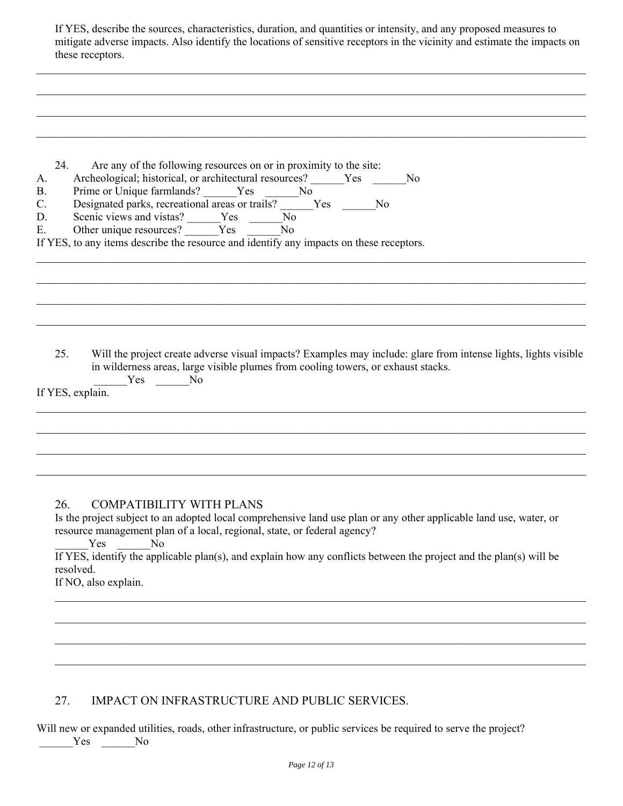| If YES, describe the sources, characteristics, duration, and quantities or intensity, and any proposed measures to       |
|--------------------------------------------------------------------------------------------------------------------------|
| mitigate adverse impacts. Also identify the locations of sensitive receptors in the vicinity and estimate the impacts on |
| these receptors.                                                                                                         |

 $\mathcal{L}_\mathcal{L} = \mathcal{L}_\mathcal{L} = \mathcal{L}_\mathcal{L} = \mathcal{L}_\mathcal{L} = \mathcal{L}_\mathcal{L} = \mathcal{L}_\mathcal{L} = \mathcal{L}_\mathcal{L} = \mathcal{L}_\mathcal{L} = \mathcal{L}_\mathcal{L} = \mathcal{L}_\mathcal{L} = \mathcal{L}_\mathcal{L} = \mathcal{L}_\mathcal{L} = \mathcal{L}_\mathcal{L} = \mathcal{L}_\mathcal{L} = \mathcal{L}_\mathcal{L} = \mathcal{L}_\mathcal{L} = \mathcal{L}_\mathcal{L}$ 

 $\mathcal{L}_\mathcal{L} = \mathcal{L}_\mathcal{L} = \mathcal{L}_\mathcal{L} = \mathcal{L}_\mathcal{L} = \mathcal{L}_\mathcal{L} = \mathcal{L}_\mathcal{L} = \mathcal{L}_\mathcal{L} = \mathcal{L}_\mathcal{L} = \mathcal{L}_\mathcal{L} = \mathcal{L}_\mathcal{L} = \mathcal{L}_\mathcal{L} = \mathcal{L}_\mathcal{L} = \mathcal{L}_\mathcal{L} = \mathcal{L}_\mathcal{L} = \mathcal{L}_\mathcal{L} = \mathcal{L}_\mathcal{L} = \mathcal{L}_\mathcal{L}$ 

 $\mathcal{L}_\mathcal{L} = \mathcal{L}_\mathcal{L} = \mathcal{L}_\mathcal{L} = \mathcal{L}_\mathcal{L} = \mathcal{L}_\mathcal{L} = \mathcal{L}_\mathcal{L} = \mathcal{L}_\mathcal{L} = \mathcal{L}_\mathcal{L} = \mathcal{L}_\mathcal{L} = \mathcal{L}_\mathcal{L} = \mathcal{L}_\mathcal{L} = \mathcal{L}_\mathcal{L} = \mathcal{L}_\mathcal{L} = \mathcal{L}_\mathcal{L} = \mathcal{L}_\mathcal{L} = \mathcal{L}_\mathcal{L} = \mathcal{L}_\mathcal{L}$ 

| 24.<br>А.<br><b>B.</b><br>$C$ .<br>D.<br>Ε. | Are any of the following resources on or in proximity to the site:<br>Archeological; historical, or architectural resources? Yes<br>No.<br>Prime or Unique farmlands? ______Yes _______No<br>Designated parks, recreational areas or trails? Ves<br>N <sub>0</sub><br>Scenic views and vistas? $\frac{\ }{\ }$ Yes $\frac{\ }{\ }$<br>N <sub>0</sub><br>Other unique resources? ______Yes ______No<br>If YES, to any items describe the resource and identify any impacts on these receptors. |
|---------------------------------------------|-----------------------------------------------------------------------------------------------------------------------------------------------------------------------------------------------------------------------------------------------------------------------------------------------------------------------------------------------------------------------------------------------------------------------------------------------------------------------------------------------|
| 25.                                         | Will the project create adverse visual impacts? Examples may include: glare from intense lights, lights visible<br>in wilderness areas, large visible plumes from cooling towers, or exhaust stacks.<br>Yes No<br>If YES, explain.                                                                                                                                                                                                                                                            |
|                                             |                                                                                                                                                                                                                                                                                                                                                                                                                                                                                               |
| 26.                                         | <b>COMPATIBILITY WITH PLANS</b><br>Is the project subject to an adopted local comprehensive land use plan or any other applicable land use, water, or<br>resource management plan of a local, regional, state, or federal agency?<br>N <sub>0</sub><br>Yes<br>If YES, identify the applicable plan(s), and explain how any conflicts between the project and the plan(s) will be<br>resolved.<br>If NO, also explain.                                                                         |
|                                             |                                                                                                                                                                                                                                                                                                                                                                                                                                                                                               |

## 27. IMPACT ON INFRASTRUCTURE AND PUBLIC SERVICES.

Will new or expanded utilities, roads, other infrastructure, or public services be required to serve the project?

 $Yes$  No